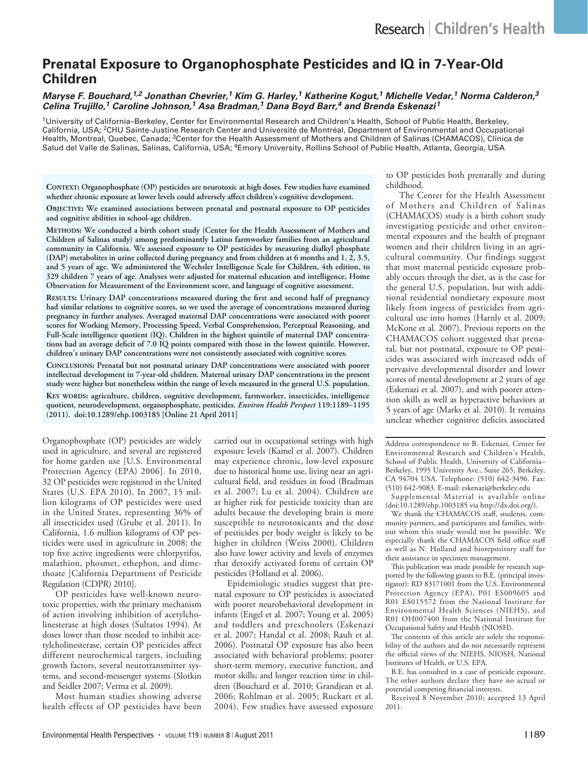# **Prenatal Exposure to Organophosphate Pesticides and IQ in 7-Year-Old Children**

## *Maryse F. Bouchard, 1,2 Jonathan Chevrier, 1 Kim G. Harley, 1 Katherine Kogut, 1 Michelle Vedar, 1 Norma Calderon, 3 Celina Trujillo, 1 Caroline Johnson, 1 Asa Bradman, 1 Dana Boyd Barr, <sup>4</sup> and Brenda Eskenazi<sup>1</sup>*

1University of California–Berkeley, Center for Environmental Research and Children's Health, School of Public Health, Berkeley, California, USA; 2CHU Sainte-Justine Research Center and Université de Montréal, Department of Environmental and Occupational Health, Montreal, Quebec, Canada; 3Center for the Health Assessment of Mothers and Children of Salinas (CHAMACOS), Clinica de Salud del Valle de Salinas, Salinas, California, USA; 4Emory University, Rollins School of Public Health, Atlanta, Georgia, USA

**Context: Organophosphate (OP) pesticides are neurotoxic at high doses. Few studies have examined whether chronic exposure at lower levels could adversely affect children's cognitive development.**

**Objective: We examined associations between prenatal and postnatal exposure to OP pesticides and cognitive abilities in school-age children.**

**Methods: We conducted a birth cohort study (Center for the Health Assessment of Mothers and Children of Salinas study) among predominantly Latino farmworker families from an agricultural community in California. We assessed exposure to OP pesticides by measuring dialkyl phosphate (DAP) metabolites in urine collected during pregnancy and from children at 6 months and 1, 2, 3.5, and 5 years of age. We administered the Wechsler Intelligence Scale for Children, 4th edition, to 329 children 7 years of age. Analyses were adjusted for maternal education and intelligence, Home Observation for Measurement of the Environment score, and language of cognitive assessment.**

**Results: Urinary DAP concentrations measured during the first and second half of pregnancy had similar relations to cognitive scores, so we used the average of concentrations measured during pregnancy in further analyses. Averaged maternal DAP concentrations were associated with poorer scores for Working Memory, Processing Speed, Verbal Comprehension, Perceptual Reasoning, and Full-Scale intelligence quotient (IQ). Children in the highest quintile of maternal DAP concentrations had an average deficit of 7.0 IQ points compared with those in the lowest quintile. However, children's urinary DAP concentrations were not consistently associated with cognitive scores.**

**Conclusions: Prenatal but not postnatal urinary DAP concentrations were associated with poorer intellectual development in 7-year-old children. Maternal urinary DAP concentrations in the present study were higher but nonetheless within the range of levels measured in the general U.S. population. Key words: agriculture, children, cognitive development, farmworker, insecticides, intelligence quotient, neurodevelopment, organophosphate, pesticides.** *Environ Health Perspect* **119:1189–1195 (2011). doi:10.1289/ehp.1003185 [Online 21 April 2011]**

Organophosphate (OP) pesticides are widely used in agriculture, and several are registered for home garden use [U.S. Environmental Protection Agency (EPA) 2006]. In 2010, 32 OP pesticides were registered in the United States (U.S. EPA 2010). In 2007, 15 million kilograms of OP pesticides were used in the United States, representing 36% of all insecticides used (Grube et al. 2011). In California, 1.6 million kilograms of OP pesticides were used in agriculture in 2008; the top five active ingredients were chlorpyrifos, malathion, phosmet, ethephon, and dimethoate [California Department of Pesticide Regulation (CDPR) 2010].

OP pesticides have well-known neurotoxic properties, with the primary mechanism of action involving inhibition of acetylcholinesterase at high doses (Sultatos 1994). At doses lower than those needed to inhibit acetylcholinesterase, certain OP pesticides affect different neurochemical targets, including growth factors, several neurotransmitter systems, and second-messenger systems (Slotkin and Seidler 2007; Verma et al. 2009).

Most human studies showing adverse health effects of OP pesticides have been carried out in occupational settings with high exposure levels (Kamel et al. 2007). Children may experience chronic, low-level exposure due to historical home use, living near an agricultural field, and residues in food (Bradman et al. 2007; Lu et al. 2004). Children are at higher risk for pesticide toxicity than are adults because the developing brain is more susceptible to neurotoxicants and the dose of pesticides per body weight is likely to be higher in children (Weiss 2000). Children also have lower activity and levels of enzymes that detoxify activated forms of certain OP pesticides (Holland et al. 2006).

Epidemiologic studies suggest that prenatal exposure to OP pesticides is associated with poorer neurobehavioral development in infants (Engel et al. 2007; Young et al. 2005) and toddlers and preschoolers (Eskenazi et al. 2007; Handal et al. 2008; Rauh et al. 2006). Postnatal OP exposure has also been associated with behavioral problems; poorer short-term memory, executive function, and motor skills; and longer reaction time in children (Bouchard et al. 2010; Grandjean et al. 2006; Rohlman et al. 2005; Ruckart et al. 2004). Few studies have assessed exposure to OP pesticides both prenatally and during childhood.

The Center for the Health Assessment of Mothers and Children of Salinas (CHAMACOS) study is a birth cohort study investigating pesticide and other environmental exposures and the health of pregnant women and their children living in an agricultural community. Our findings suggest that most maternal pesticide exposure probably occurs through the diet, as is the case for the general U.S. population, but with additional residential nondietary exposure most likely from ingress of pesticides from agricultural use into homes (Harnly et al. 2009; McKone et al. 2007). Previous reports on the CHAMACOS cohort suggested that prenatal, but not postnatal, exposure to OP pesticides was associated with increased odds of pervasive developmental disorder and lower scores of mental development at 2 years of age (Eskenazi et al. 2007), and with poorer attention skills as well as hyperactive behaviors at 5 years of age (Marks et al. 2010). It remains unclear whether cognitive deficits associated

Address correspondence to B. Eskenazi, Center for Environmental Research and Children's Health, School of Public Health, University of California– Berkeley, 1995 University Ave., Suite 265, Berkeley, CA 94704 USA. Telephone: (510) 642-3496. Fax: (510) 642-9083. E-mail: eskenazi@berkeley.edu

Supplemental Material is available online (doi:10.1289/ehp.1003185 via http://dx.doi.org/).

We thank the CHAMACOS staff, students, community partners, and participants and families, without whom this study would not be possible. We especially thank the CHAMACOS field office staff as well as N. Holland and biorepository staff for their assistance in specimen management.

This publication was made possible by research supported by the following grants to B.E. (principal investigator): RD 83171001 from the U.S. Environmental Protection Agency (EPA), P01 ES009605 and R01 ES015572 from the National Institute for Environmental Health Sciences (NIEHS), and R01 OH007400 from the National Institute for Occupational Safety and Health (NIOSH).

The contents of this article are solely the responsibility of the authors and do not necessarily represent the official views of the NIEHS, NIOSH, National Institutes of Health, or U.S. EPA.

B.E. has consulted in a case of pesticide exposure. The other authors declare they have no actual or potential competing financial interests.

Received 8 November 2010; accepted 13 April 2011.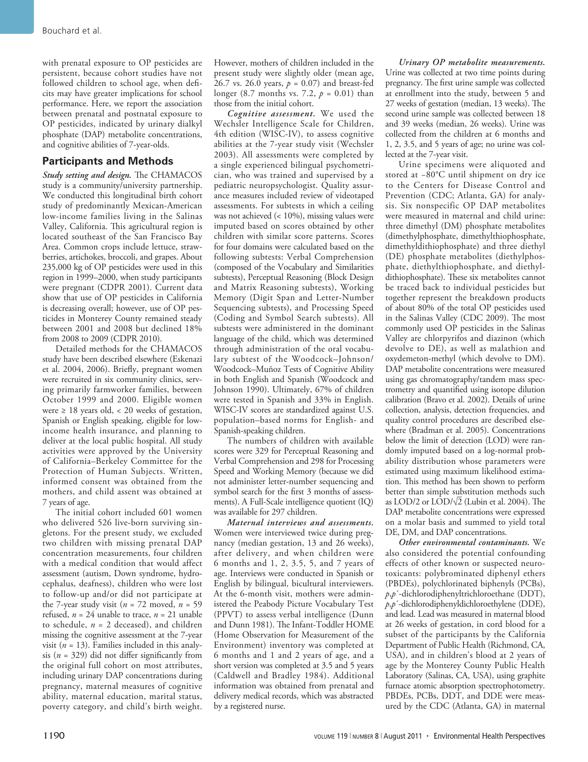with prenatal exposure to OP pesticides are persistent, because cohort studies have not followed children to school age, when deficits may have greater implications for school performance. Here, we report the association between prenatal and postnatal exposure to OP pesticides, indicated by urinary dialkyl phosphate (DAP) metabolite concentrations, and cognitive abilities of 7-year-olds.

# **Participants and Methods**

*Study setting and design.* The CHAMACOS study is a community/university partnership. We conducted this longitudinal birth cohort study of predominantly Mexican-American low-income families living in the Salinas Valley, California. This agricultural region is located southeast of the San Francisco Bay Area. Common crops include lettuce, strawberries, artichokes, broccoli, and grapes. About 235,000 kg of OP pesticides were used in this region in 1999–2000, when study participants were pregnant (CDPR 2001). Current data show that use of OP pesticides in California is decreasing overall; however, use of OP pesticides in Monterey County remained steady between 2001 and 2008 but declined 18% from 2008 to 2009 (CDPR 2010).

Detailed methods for the CHAMACOS study have been described elsewhere (Eskenazi et al. 2004, 2006). Briefly, pregnant women were recruited in six community clinics, serving primarily farmworker families, between October 1999 and 2000. Eligible women were  $\geq 18$  years old, < 20 weeks of gestation, Spanish or English speaking, eligible for lowincome health insurance, and planning to deliver at the local public hospital. All study activities were approved by the University of California–Berkeley Committee for the Protection of Human Subjects. Written, informed consent was obtained from the mothers, and child assent was obtained at 7 years of age.

The initial cohort included 601 women who delivered 526 live-born surviving singletons. For the present study, we excluded two children with missing prenatal DAP concentration measurements, four children with a medical condition that would affect assessment (autism, Down syndrome, hydrocephalus, deafness), children who were lost to follow-up and/or did not participate at the 7-year study visit ( $n = 72$  moved,  $n = 59$ refused,  $n = 24$  unable to trace,  $n = 21$  unable to schedule, *n* = 2 deceased), and children missing the cognitive assessment at the 7-year visit  $(n = 13)$ . Families included in this analysis (*n* = 329) did not differ significantly from the original full cohort on most attributes, including urinary DAP concentrations during pregnancy, maternal measures of cognitive ability, maternal education, marital status, poverty category, and child's birth weight.

However, mothers of children included in the present study were slightly older (mean age, 26.7 vs. 26.0 years,  $p = 0.07$ ) and breast-fed longer (8.7 months vs. 7.2, *p* = 0.01) than those from the initial cohort.

*Cognitive assessment.* We used the Wechsler Intelligence Scale for Children, 4th edition (WISC-IV), to assess cognitive abilities at the 7-year study visit (Wechsler 2003). All assessments were completed by a single experienced bilingual psychometrician, who was trained and supervised by a pediatric neuropsychologist. Quality assurance measures included review of videotaped assessments. For subtests in which a ceiling was not achieved (< 10%), missing values were imputed based on scores obtained by other children with similar score patterns. Scores for four domains were calculated based on the following subtests: Verbal Comprehension (composed of the Vocabulary and Similarities subtests), Perceptual Reasoning (Block Design and Matrix Reasoning subtests), Working Memory (Digit Span and Letter-Number Sequencing subtests), and Processing Speed (Coding and Symbol Search subtests). All subtests were administered in the dominant language of the child, which was determined through administration of the oral vocabulary subtest of the Woodcock–Johnson/ Woodcock–Muñoz Tests of Cognitive Ability in both English and Spanish (Woodcock and Johnson 1990). Ultimately, 67% of children were tested in Spanish and 33% in English. WISC-IV scores are standardized against U.S. population–based norms for English- and Spanish-speaking children.

The numbers of children with available scores were 329 for Perceptual Reasoning and Verbal Comprehension and 298 for Processing Speed and Working Memory (because we did not administer letter-number sequencing and symbol search for the first 3 months of assessments). A Full-Scale intelligence quotient (IQ) was available for 297 children.

*Maternal interviews and assessments.*  Women were interviewed twice during pregnancy (median gestation, 13 and 26 weeks), after delivery, and when children were 6 months and 1, 2, 3.5, 5, and 7 years of age. Interviews were conducted in Spanish or English by bilingual, bicultural interviewers. At the 6-month visit, mothers were administered the Peabody Picture Vocabulary Test (PPVT) to assess verbal intelligence (Dunn and Dunn 1981). The Infant-Toddler HOME (Home Observation for Measurement of the Environment) inventory was completed at 6 months and 1 and 2 years of age, and a short version was completed at 3.5 and 5 years (Caldwell and Bradley 1984). Additional information was obtained from prenatal and delivery medical records, which was abstracted by a registered nurse.

*Urinary OP metabolite measurements.* Urine was collected at two time points during pregnancy. The first urine sample was collected at enrollment into the study, between 5 and 27 weeks of gestation (median, 13 weeks). The second urine sample was collected between 18 and 39 weeks (median, 26 weeks). Urine was collected from the children at 6 months and 1, 2, 3.5, and 5 years of age; no urine was collected at the 7-year visit.

Urine specimens were aliquoted and stored at −80°C until shipment on dry ice to the Centers for Disease Control and Prevention (CDC; Atlanta, GA) for analysis. Six nonspecific OP DAP metabolites were measured in maternal and child urine: three dimethyl (DM) phosphate metabolites (dimethylphosphate, dimethylthiophosphate, dimethyldithiophosphate) and three diethyl (DE) phosphate metabolites (diethylphosphate, diethylthiophosphate, and diethyldithiophosphate). These six metabolites cannot be traced back to individual pesticides but together represent the breakdown products of about 80% of the total OP pesticides used in the Salinas Valley (CDC 2009). The most commonly used OP pesticides in the Salinas Valley are chlorpyrifos and diazinon (which devolve to DE), as well as malathion and oxydemeton-methyl (which devolve to DM). DAP metabolite concentrations were measured using gas chromatography/tandem mass spectrometry and quantified using isotope dilution calibration (Bravo et al. 2002). Details of urine collection, analysis, detection frequencies, and quality control procedures are described elsewhere (Bradman et al. 2005). Concentrations below the limit of detection (LOD) were randomly imputed based on a log-normal probability distribution whose parameters were estimated using maximum likelihood estimation. This method has been shown to perform better than simple substitution methods such as  $LOD/2$  or  $LOD/\sqrt{2}$  (Lubin et al. 2004). The DAP metabolite concentrations were expressed on a molar basis and summed to yield total DE, DM, and DAP concentrations.

*Other environmental contaminants.* We also considered the potential confounding effects of other known or suspected neurotoxicants: polybrominated diphenyl ethers (PBDEs), polychlorinated biphenyls (PCBs), *p*,*p*´-dichlorodiphenyltrichloroethane (DDT), *p*,*p*´-dichlorodiphenyldichloroethylene (DDE), and lead. Lead was measured in maternal blood at 26 weeks of gestation, in cord blood for a subset of the participants by the California Department of Public Health (Richmond, CA, USA), and in children's blood at 2 years of age by the Monterey County Public Health Laboratory (Salinas, CA, USA), using graphite furnace atomic absorption spectrophotometry. PBDEs, PCBs, DDT, and DDE were measured by the CDC (Atlanta, GA) in maternal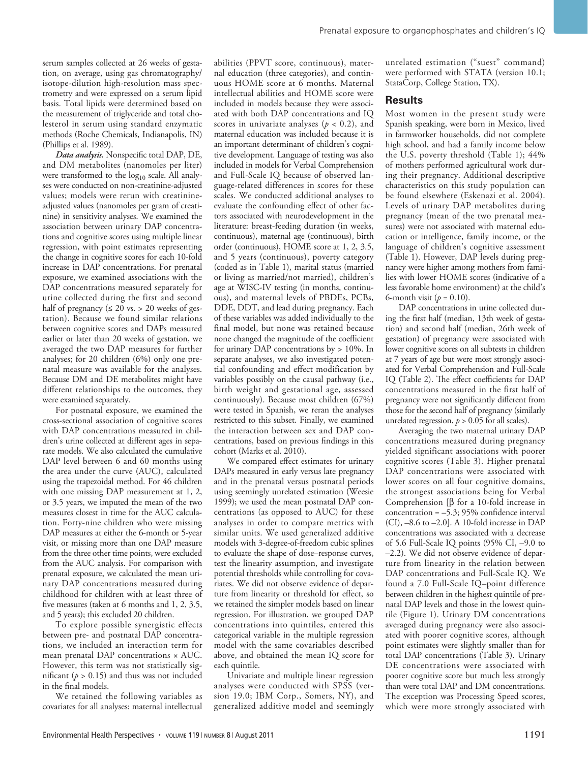serum samples collected at 26 weeks of gestation, on average, using gas chromatography/ isotope-dilution high-resolution mass spectrometry and were expressed on a serum lipid basis. Total lipids were determined based on the measurement of triglyceride and total cholesterol in serum using standard enzymatic methods (Roche Chemicals, Indianapolis, IN) (Phillips et al. 1989).

*Data analysis.* Nonspecific total DAP, DE, and DM metabolites (nanomoles per liter) were transformed to the  $log_{10}$  scale. All analyses were conducted on non-creatinine-adjusted values; models were rerun with creatinineadjusted values (nanomoles per gram of creatinine) in sensitivity analyses. We examined the association between urinary DAP concentrations and cognitive scores using multiple linear regression, with point estimates representing the change in cognitive scores for each 10-fold increase in DAP concentrations. For prenatal exposure, we examined associations with the DAP concentrations measured separately for urine collected during the first and second half of pregnancy ( $\leq 20$  vs. > 20 weeks of gestation). Because we found similar relations between cognitive scores and DAPs measured earlier or later than 20 weeks of gestation, we averaged the two DAP measures for further analyses; for 20 children (6%) only one prenatal measure was available for the analyses. Because DM and DE metabolites might have different relationships to the outcomes, they were examined separately.

For postnatal exposure, we examined the cross-sectional association of cognitive scores with DAP concentrations measured in children's urine collected at different ages in separate models. We also calculated the cumulative DAP level between 6 and 60 months using the area under the curve (AUC), calculated using the trapezoidal method. For 46 children with one missing DAP measurement at 1, 2, or 3.5 years, we imputed the mean of the two measures closest in time for the AUC calculation. Forty-nine children who were missing DAP measures at either the 6-month or 5-year visit, or missing more than one DAP measure from the three other time points, were excluded from the AUC analysis. For comparison with prenatal exposure, we calculated the mean urinary DAP concentrations measured during childhood for children with at least three of five measures (taken at 6 months and 1, 2, 3.5, and 5 years); this excluded 20 children.

To explore possible synergistic effects between pre- and postnatal DAP concentrations, we included an interaction term for mean prenatal DAP concentrations × AUC. However, this term was not statistically significant  $(p > 0.15)$  and thus was not included in the final models.

We retained the following variables as covariates for all analyses: maternal intellectual

abilities (PPVT score, continuous), maternal education (three categories), and continuous HOME score at 6 months. Maternal intellectual abilities and HOME score were included in models because they were associated with both DAP concentrations and IQ scores in univariate analyses ( $p < 0.2$ ), and maternal education was included because it is an important determinant of children's cognitive development. Language of testing was also included in models for Verbal Comprehension and Full-Scale IQ because of observed language-related differences in scores for these scales. We conducted additional analyses to evaluate the confounding effect of other factors associated with neurodevelopment in the literature: breast-feeding duration (in weeks, continuous), maternal age (continuous), birth order (continuous), HOME score at 1, 2, 3.5, and 5 years (continuous), poverty category (coded as in Table 1), marital status (married or living as married/not married), children's age at WISC-IV testing (in months, continuous), and maternal levels of PBDEs, PCBs, DDE, DDT, and lead during pregnancy. Each of these variables was added individually to the final model, but none was retained because none changed the magnitude of the coefficient for urinary DAP concentrations by > 10%. In separate analyses, we also investigated potential confounding and effect modification by variables possibly on the causal pathway (i.e., birth weight and gestational age, assessed continuously). Because most children (67%) were tested in Spanish, we reran the analyses restricted to this subset. Finally, we examined the interaction between sex and DAP concentrations, based on previous findings in this cohort (Marks et al. 2010).

We compared effect estimates for urinary DAPs measured in early versus late pregnancy and in the prenatal versus postnatal periods using seemingly unrelated estimation (Weesie 1999); we used the mean postnatal DAP concentrations (as opposed to AUC) for these analyses in order to compare metrics with similar units. We used generalized additive models with 3-degree-of-freedom cubic splines to evaluate the shape of dose–response curves, test the linearity assumption, and investigate potential thresholds while controlling for covariates. We did not observe evidence of departure from linearity or threshold for effect, so we retained the simpler models based on linear regression. For illustration, we grouped DAP concentrations into quintiles, entered this categorical variable in the multiple regression model with the same covariables described above, and obtained the mean IQ score for each quintile.

Univariate and multiple linear regression analyses were conducted with SPSS (version 19.0; IBM Corp., Somers, NY), and generalized additive model and seemingly unrelated estimation ("suest" command) were performed with STATA (version 10.1; StataCorp, College Station, TX).

### **Results**

Most women in the present study were Spanish speaking, were born in Mexico, lived in farmworker households, did not complete high school, and had a family income below the U.S. poverty threshold (Table 1); 44% of mothers performed agricultural work during their pregnancy. Additional descriptive characteristics on this study population can be found elsewhere (Eskenazi et al. 2004). Levels of urinary DAP metabolites during pregnancy (mean of the two prenatal measures) were not associated with maternal education or intelligence, family income, or the language of children's cognitive assessment (Table 1). However, DAP levels during pregnancy were higher among mothers from families with lower HOME scores (indicative of a less favorable home environment) at the child's 6-month visit  $(p = 0.10)$ .

DAP concentrations in urine collected during the first half (median, 13th week of gestation) and second half (median, 26th week of gestation) of pregnancy were associated with lower cognitive scores on all subtests in children at 7 years of age but were most strongly associated for Verbal Comprehension and Full-Scale IQ (Table 2). The effect coefficients for DAP concentrations measured in the first half of pregnancy were not significantly different from those for the second half of pregnancy (similarly unrelated regression,  $p > 0.05$  for all scales).

Averaging the two maternal urinary DAP concentrations measured during pregnancy yielded significant associations with poorer cognitive scores (Table 3). Higher prenatal DAP concentrations were associated with lower scores on all four cognitive domains, the strongest associations being for Verbal Comprehension [β for a 10-fold increase in concentration  $= -5.3$ ; 95% confidence interval (CI), –8.6 to –2.0]. A 10-fold increase in DAP concentrations was associated with a decrease of 5.6 Full-Scale IQ points (95% CI, –9.0 to –2.2). We did not observe evidence of departure from linearity in the relation between DAP concentrations and Full-Scale IQ. We found a 7.0 Full-Scale IQ–point difference between children in the highest quintile of prenatal DAP levels and those in the lowest quintile (Figure 1). Urinary DM concentrations averaged during pregnancy were also associated with poorer cognitive scores, although point estimates were slightly smaller than for total DAP concentrations (Table 3). Urinary DE concentrations were associated with poorer cognitive score but much less strongly than were total DAP and DM concentrations. The exception was Processing Speed scores, which were more strongly associated with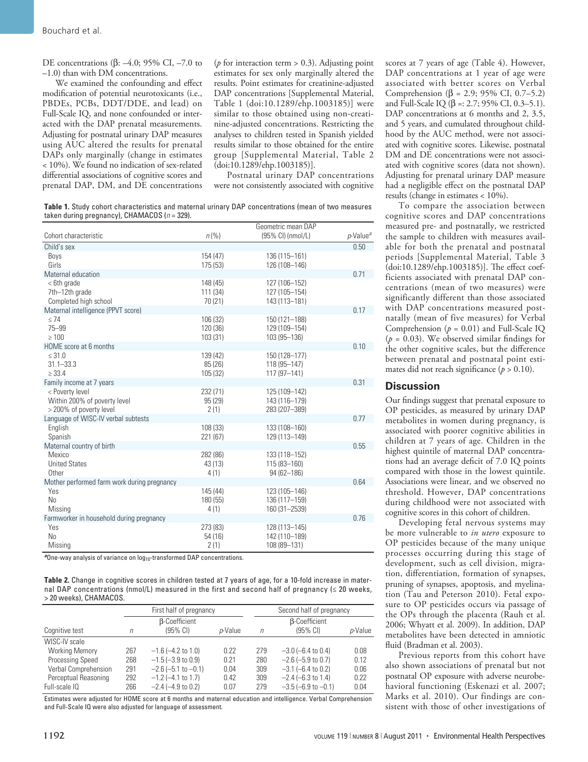DE concentrations (β: –4.0; 95% CI, –7.0 to –1.0) than with DM concentrations.

We examined the confounding and effect modification of potential neurotoxicants (i.e., PBDEs, PCBs, DDT/DDE, and lead) on Full-Scale IQ, and none confounded or interacted with the DAP prenatal measurements. Adjusting for postnatal urinary DAP measures using AUC altered the results for prenatal DAPs only marginally (change in estimates < 10%). We found no indication of sex-related differential associations of cognitive scores and prenatal DAP, DM, and DE concentrations ( $p$  for interaction term  $> 0.3$ ). Adjusting point estimates for sex only marginally altered the results. Point estimates for creatinine-adjusted DAP concentrations [Supplemental Material, Table 1 (doi:10.1289/ehp.1003185)] were similar to those obtained using non-creatinine-adjusted concentrations. Restricting the analyses to children tested in Spanish yielded results similar to those obtained for the entire group [Supplemental Material, Table 2 (doi:10.1289/ehp.1003185)].

Postnatal urinary DAP concentrations were not consistently associated with cognitive

**Table 1.** Study cohort characteristics and maternal urinary DAP concentrations (mean of two measures taken during pregnancy), CHAMACOS (*n* = 329).

|                                             |                    | Geometric mean DAP |                         |  |  |
|---------------------------------------------|--------------------|--------------------|-------------------------|--|--|
| Cohort characteristic                       | $n\left(\%\right)$ | (95% CI) (nmol/L)  | $p$ -Value <sup>a</sup> |  |  |
| Child's sex                                 |                    |                    | 0.50                    |  |  |
| Boys                                        | 154 (47)           | 136 (115-161)      |                         |  |  |
| Girls                                       | 175 (53)           | 126 (108-146)      |                         |  |  |
| Maternal education                          |                    |                    | 0.71                    |  |  |
| < 6th grade                                 | 148 (45)           | 127 (106-152)      |                         |  |  |
| 7th-12th grade                              | 111 (34)           | 127 (105-154)      |                         |  |  |
| Completed high school                       | 70(21)             | 143 (113-181)      |                         |  |  |
| Maternal intelligence (PPVT score)          |                    |                    | 0.17                    |  |  |
| $\leq 74$                                   | 106 (32)           | 150 (121-188)      |                         |  |  |
| $75 - 99$                                   | 120 (36)           | 129 (109-154)      |                         |  |  |
| $\geq 100$                                  | 103 (31)           | 103 (95-136)       |                         |  |  |
| HOME score at 6 months                      |                    |                    | 0.10                    |  |  |
| $\leq 31.0$                                 | 139 (42)           | 150 (128-177)      |                         |  |  |
| $31.1 - 33.3$                               | 85(26)             | 118 (95-147)       |                         |  |  |
| $\geq 33.4$                                 | 105 (32)           | 117 (97-141)       |                         |  |  |
| Family income at 7 years                    |                    |                    | 0.31                    |  |  |
| < Poverty level                             | 232 (71)           | 125 (109-142)      |                         |  |  |
| Within 200% of poverty level                | 95(29)             | 143 (116-179)      |                         |  |  |
| > 200% of poverty level                     | 2(1)               | 283 (207-389)      |                         |  |  |
| Language of WISC-IV verbal subtests         |                    |                    | 0.77                    |  |  |
| English                                     | 108 (33)           | 133 (108-160)      |                         |  |  |
| Spanish                                     | 221 (67)           | 129 (113-149)      |                         |  |  |
| Maternal country of birth                   |                    |                    | 0.55                    |  |  |
| Mexico                                      | 282 (86)           | 133 (118-152)      |                         |  |  |
| <b>United States</b>                        | 43(13)             | 115 (83-160)       |                         |  |  |
| Other                                       | 4(1)               | 94 (62-186)        |                         |  |  |
| Mother performed farm work during pregnancy |                    |                    | 0.64                    |  |  |
| Yes                                         | 145 (44)           | 123 (105-146)      |                         |  |  |
| N <sub>o</sub>                              | 180 (55)           | 136 (117-159)      |                         |  |  |
| Missing                                     | 4(1)               | 160 (31-2539)      |                         |  |  |
| Farmworker in household during pregnancy    |                    |                    | 0.76                    |  |  |
| Yes                                         | 273 (83)           | 128 (113-145)      |                         |  |  |
| N <sub>o</sub>                              | 54(16)             | 142 (110-189)      |                         |  |  |
| Missing                                     | 2(1)               | 108 (89-131)       |                         |  |  |

<sup>a</sup>One-way analysis of variance on log<sub>10</sub>-transformed DAP concentrations.

**Table 2.** Change in cognitive scores in children tested at 7 years of age, for a 10-fold increase in maternal DAP concentrations (nmol/L) measured in the first and second half of pregnancy ( $\leq$  20 weeks, > 20 weeks), CHAMACOS.

|                                                  |            | First half of pregnancy                            |                 | Second half of pregnancy |                                                 |              |  |  |  |  |
|--------------------------------------------------|------------|----------------------------------------------------|-----------------|--------------------------|-------------------------------------------------|--------------|--|--|--|--|
| Cognitive test                                   | n          | <b>B-Coefficient</b><br>(95% CI)                   | <i>p</i> -Value | n                        | <b>B-Coefficient</b><br>$(95% \text{ Cl})$      | p-Value      |  |  |  |  |
| WISC-IV scale                                    |            |                                                    |                 |                          |                                                 |              |  |  |  |  |
| <b>Working Memory</b><br><b>Processing Speed</b> | 267<br>268 | $-1.6$ ( $-4.2$ to 1.0)<br>$-1.5$ ( $-3.9$ to 0.9) | 0.22<br>0.21    | 279<br>280               | $-3.0$ (-6.4 to 0.4)<br>$-2.6$ ( $-5.9$ to 0.7) | 0.08<br>0.12 |  |  |  |  |
| Verbal Comprehension                             | 291        | $-2.6$ ( $-5.1$ to $-0.1$ )                        | 0.04            | 309                      | $-3.1$ (-6.4 to 0.2)                            | 0.06         |  |  |  |  |
| Perceptual Reasoning                             | 292        | $-1.2$ (-4.1 to 1.7)                               | 0.42            | 309                      | $-2.4$ ( $-6.3$ to 1.4)                         | 0.22         |  |  |  |  |
| Full-scale IQ                                    | 266        | $-2.4$ ( $-4.9$ to 0.2)                            | 0.07            | 279                      | $-3.5$ (-6.9 to -0.1)                           | 0.04         |  |  |  |  |

Estimates were adjusted for HOME score at 6 months and maternal education and intelligence. Verbal Comprehension and Full-Scale IQ were also adjusted for language of assessment.

scores at 7 years of age (Table 4). However, DAP concentrations at 1 year of age were associated with better scores on Verbal Comprehension (β = 2.9; 95% CI, 0.7–5.2) and Full-Scale IQ ( $\beta$  =: 2.7; 95% CI, 0.3–5.1). DAP concentrations at 6 months and 2, 3.5, and 5 years, and cumulated throughout childhood by the AUC method, were not associated with cognitive scores. Likewise, postnatal DM and DE concentrations were not associated with cognitive scores (data not shown). Adjusting for prenatal urinary DAP measure had a negligible effect on the postnatal DAP results (change in estimates < 10%).

To compare the association between cognitive scores and DAP concentrations measured pre- and postnatally, we restricted the sample to children with measures available for both the prenatal and postnatal periods [Supplemental Material, Table 3 (doi:10.1289/ehp.1003185)]. The effect coefficients associated with prenatal DAP concentrations (mean of two measures) were significantly different than those associated with DAP concentrations measured postnatally (mean of five measures) for Verbal Comprehension (*p* = 0.01) and Full-Scale IQ  $(p = 0.03)$ . We observed similar findings for the other cognitive scales, but the difference between prenatal and postnatal point estimates did not reach significance  $(p > 0.10)$ .

## **Discussion**

Our findings suggest that prenatal exposure to OP pesticides, as measured by urinary DAP metabolites in women during pregnancy, is associated with poorer cognitive abilities in children at 7 years of age. Children in the highest quintile of maternal DAP concentrations had an average deficit of 7.0 IQ points compared with those in the lowest quintile. Associations were linear, and we observed no threshold. However, DAP concentrations during childhood were not associated with cognitive scores in this cohort of children.

Developing fetal nervous systems may be more vulnerable to *in utero* exposure to OP pesticides because of the many unique processes occurring during this stage of development, such as cell division, migration, differentiation, formation of synapses, pruning of synapses, apoptosis, and myelination (Tau and Peterson 2010). Fetal exposure to OP pesticides occurs via passage of the OPs through the placenta (Rauh et al. 2006; Whyatt et al. 2009). In addition, DAP metabolites have been detected in amniotic fluid (Bradman et al. 2003).

Previous reports from this cohort have also shown associations of prenatal but not postnatal OP exposure with adverse neurobehavioral functioning (Eskenazi et al. 2007; Marks et al. 2010). Our findings are consistent with those of other investigations of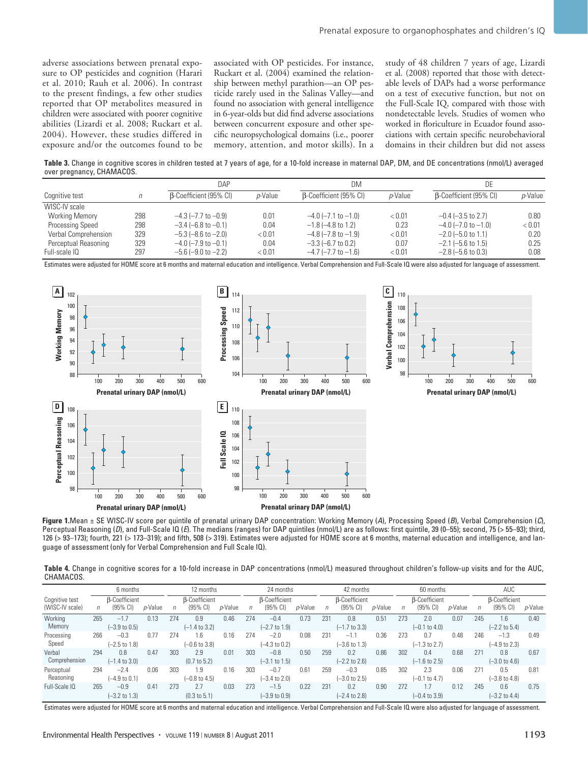adverse associations between prenatal exposure to OP pesticides and cognition (Harari et al. 2010; Rauh et al. 2006). In contrast to the present findings, a few other studies reported that OP metabolites measured in children were associated with poorer cognitive abilities (Lizardi et al. 2008; Ruckart et al. 2004). However, these studies differed in exposure and/or the outcomes found to be associated with OP pesticides. For instance, Ruckart et al. (2004) examined the relationship between methyl parathion—an OP pesticide rarely used in the Salinas Valley—and found no association with general intelligence in 6-year-olds but did find adverse associations between concurrent exposure and other specific neuropsychological domains (i.e., poorer memory, attention, and motor skills). In a study of 48 children 7 years of age, Lizardi et al. (2008) reported that those with detectable levels of DAPs had a worse performance on a test of executive function, but not on the Full-Scale IQ, compared with those with nondetectable levels. Studies of women who worked in floriculture in Ecuador found associations with certain specific neurobehavioral domains in their children but did not assess

**Table 3.** Change in cognitive scores in children tested at 7 years of age, for a 10-fold increase in maternal DAP, DM, and DE concentrations (nmol/L) averaged over pregnancy, CHAMACOS.

|        | DAP                         |         | DM                          |         | DE                      |                 |  |  |
|--------|-----------------------------|---------|-----------------------------|---------|-------------------------|-----------------|--|--|
| $\eta$ | B-Coefficient (95% CI)      | p-Value | B-Coefficient (95% CI)      | p-Value | B-Coefficient (95% CI)  | <i>p</i> -Value |  |  |
|        |                             |         |                             |         |                         |                 |  |  |
| 298    | $-4.3$ ( $-7.7$ to $-0.9$ ) | 0.01    | $-4.0$ ( $-7.1$ to $-1.0$ ) | < 0.01  | $-0.4$ ( $-3.5$ to 2.7) | 0.80            |  |  |
| 298    | $-3.4$ (-6.8 to $-0.1$ )    | 0.04    | $-1.8$ (-4.8 to 1.2)        | 0.23    | $-4.0$ (-7.0 to -1.0)   | < 0.01          |  |  |
| 329    | $-5.3$ ( $-8.6$ to $-2.0$ ) | < 0.01  | $-4.8$ ( $-7.8$ to $-1.9$ ) | < 0.01  | $-2.0$ ( $-5.0$ to 1.1) | 0.20            |  |  |
| 329    | $-4.0$ ( $-7.9$ to $-0.1$ ) | 0.04    | $-3.3$ (-6.7 to 0.2)        | 0.07    | $-2.1$ ( $-5.6$ to 1.5) | 0.25            |  |  |
| 297    | $-5.6$ ( $-9.0$ to $-2.2$ ) | < 0.01  | $-4.7$ ( $-7.7$ to $-1.6$ ) | < 0.01  | $-2.8$ ( $-5.6$ to 0.3) | 0.08            |  |  |
|        |                             |         |                             |         |                         |                 |  |  |

Estimates were adjusted for HOME score at 6 months and maternal education and intelligence. Verbal Comprehension and Full-Scale IQ were also adjusted for language of assessment.



**Figure 1.**Mean ± SE WISC-IV score per quintile of prenatal urinary DAP concentration: Working Memory (*A*), Processing Speed (*B*), Verbal Comprehension (*C*), Perceptual Reasoning (D), and Full-Scale IQ (E). The medians (ranges) for DAP quintiles (nmol/L) are as follows: first quintile, 39 (0–55); second, 75 (> 55–93); third, 126 (> 93–173); fourth, 221 (> 173–319); and fifth, 508 (> 319). Estimates were adjusted for HOME score at 6 months, maternal education and intelligence, and language of assessment (only for Verbal Comprehension and Full Scale IQ).

**Table 4.** Change in cognitive scores for a 10-fold increase in DAP concentrations (nmol/L) measured throughout children's follow-up visits and for the AUC, CHAMACOS.

|                 | 6 months             |                          |                 | 12 months            |                          | 24 months |                      | 42 months                |                      | 60 months |                          |         | <b>AUC</b> |                          |         |     |                          |         |
|-----------------|----------------------|--------------------------|-----------------|----------------------|--------------------------|-----------|----------------------|--------------------------|----------------------|-----------|--------------------------|---------|------------|--------------------------|---------|-----|--------------------------|---------|
| Cognitive test  | <b>B-Coefficient</b> |                          |                 | <b>B-Coefficient</b> |                          |           | <b>B-Coefficient</b> |                          | <b>B-Coefficient</b> |           | <b>B-Coefficient</b>     |         |            | <b>B-Coefficient</b>     |         |     |                          |         |
| (WISC-IV scale) | $\eta$               | $(95% \text{ Cl})$       | <i>p</i> -Value |                      | (95% CI)                 | p-Value   | n                    | (95% CI)                 | p-Value              | n         | (95% CI)                 | p-Value | n          | (95% CI)                 | p-Value | n   | (95% CI)                 | p-Value |
| Working         | 265                  | $-17$                    | 0.13            | 274                  | 0.9                      | 0.46      | 274                  | $-0.4$                   | 0.73                 | 231       | 0.8                      | 0.51    | 273        | 2.0                      | 0.07    | 245 | 1.6                      | 0.40    |
| Memory          |                      | $(-3.9 \text{ to } 0.5)$ |                 |                      | $(-1.4 \text{ to } 3.2)$ |           |                      | $(-2.7 \text{ to } 1.9)$ |                      |           | $(-1.7 \text{ to } 3.3)$ |         |            | $(-0.1 \text{ to } 4.0)$ |         |     | $(-2.2 \text{ to } 5.4)$ |         |
| Processing      | 266                  | $-0.3$                   | 0.77            | 274                  | . 6                      | 0.16      | 274                  | $-2.0$                   | 0.08                 | 231       | $-1.1$                   | 0.36    | 273        | 0.7                      | 0.48    | 246 | $-1.3$                   | 0.49    |
| Speed           |                      | $(-2.5 \text{ to } 1.8)$ |                 |                      | $(-0.6 \text{ to } 3.8)$ |           |                      | $(-4.3 \text{ to } 0.2)$ |                      |           | $(-3.6 \text{ to } 1.3)$ |         |            | $(-1.3 \text{ to } 2.7)$ |         |     | $(-4.9 \text{ to } 2.3)$ |         |
| Verbal          | 294                  | 0.8                      | 0.47            | 303                  | 2.9                      | 0.01      | 303                  | $-0.8$                   | 0.50                 | 259       | 0.2                      | 0.86    | 302        | 0.4                      | 0.68    | 271 | 0.8                      | 0.67    |
| Comprehension   |                      | $(-1.4 \text{ to } 3.0)$ |                 |                      | $(0.7 \text{ to } 5.2)$  |           |                      | $(-3.1 \text{ to } 1.5)$ |                      |           | $(-2.2 \text{ to } 2.6)$ |         |            | $(-1.6 \text{ to } 2.5)$ |         |     | $(-3.0 \text{ to } 4.6)$ |         |
| Perceptual      | 294                  | $-2.4$                   | 0.06            | 303                  | 1.9                      | 0.16      | 303                  | $-0.7$                   | 0.61                 | 259       | $-0.3$                   | 0.85    | 302        | 2.3                      | 0.06    | 271 | 0.5                      | 0.81    |
| Reasoning       |                      | $(-4.9 \text{ to } 0.1)$ |                 |                      | $(-0.8 \text{ to } 4.5)$ |           |                      | $(-3.4 \text{ to } 2.0)$ |                      |           | $(-3.0 \text{ to } 2.5)$ |         |            | $(-0.1 \text{ to } 4.7)$ |         |     | $(-3.8 \text{ to } 4.8)$ |         |
| Full-Scale IQ   | 265                  | $-0.9$                   | 0.41            | 273                  | 2.7                      | 0.03      | 273                  | $-1.5$                   | 0.22                 | 231       | 0.2                      | 0.90    | 272        | 1.7                      | 0.17    | 245 | 0.6                      | 0.75    |
|                 |                      | $(-3.2 \text{ to } 1.3)$ |                 |                      | $(0.3 \text{ to } 5.1)$  |           |                      | $(-3.9 \text{ to } 0.9)$ |                      |           | $(-2.4 \text{ to } 2.8)$ |         |            | $(-0.4 \text{ to } 3.9)$ |         |     | $(-3.2 \text{ to } 4.4)$ |         |

Estimates were adjusted for HOME score at 6 months and maternal education and intelligence. Verbal Comprehension and Full-Scale IQ were also adjusted for language of assessment.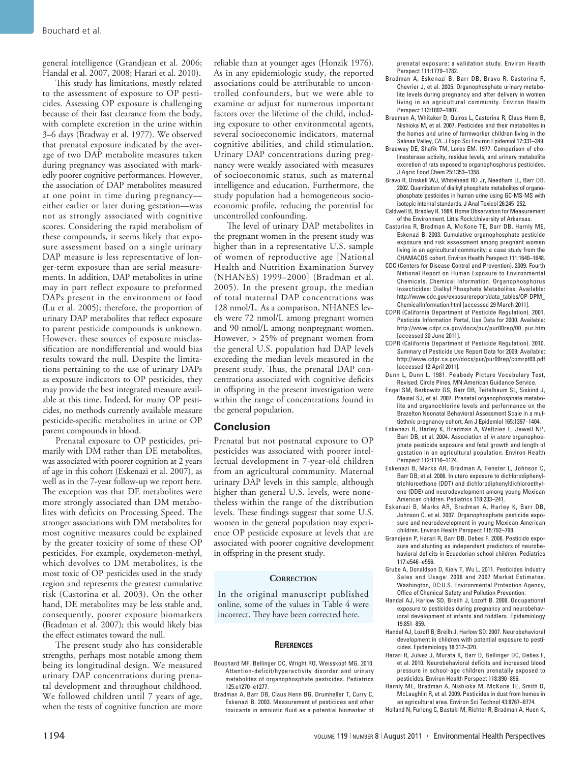general intelligence (Grandjean et al. 2006; Handal et al. 2007, 2008; Harari et al. 2010).

This study has limitations, mostly related to the assessment of exposure to OP pesticides. Assessing OP exposure is challenging because of their fast clearance from the body, with complete excretion in the urine within 3–6 days (Bradway et al. 1977). We observed that prenatal exposure indicated by the average of two DAP metabolite measures taken during pregnancy was associated with markedly poorer cognitive performances. However, the association of DAP metabolites measured at one point in time during pregnancy either earlier or later during gestation—was not as strongly associated with cognitive scores. Considering the rapid metabolism of these compounds, it seems likely that exposure assessment based on a single urinary DAP measure is less representative of longer-term exposure than are serial measurements. In addition, DAP metabolites in urine may in part reflect exposure to preformed DAPs present in the environment or food (Lu et al. 2005); therefore, the proportion of urinary DAP metabolites that reflect exposure to parent pesticide compounds is unknown. However, these sources of exposure misclassification are nondifferential and would bias results toward the null. Despite the limitations pertaining to the use of urinary DAPs as exposure indicators to OP pesticides, they may provide the best integrated measure available at this time. Indeed, for many OP pesticides, no methods currently available measure pesticide-specific metabolites in urine or OP parent compounds in blood.

Prenatal exposure to OP pesticides, primarily with DM rather than DE metabolites, was associated with poorer cognition at 2 years of age in this cohort (Eskenazi et al. 2007), as well as in the 7-year follow-up we report here. The exception was that DE metabolites were more strongly associated than DM metabolites with deficits on Processing Speed. The stronger associations with DM metabolites for most cognitive measures could be explained by the greater toxicity of some of these OP pesticides. For example, oxydemeton-methyl, which devolves to DM metabolites, is the most toxic of OP pesticides used in the study region and represents the greatest cumulative risk (Castorina et al. 2003). On the other hand, DE metabolites may be less stable and, consequently, poorer exposure biomarkers (Bradman et al. 2007); this would likely bias the effect estimates toward the null.

The present study also has considerable strengths, perhaps most notable among them being its longitudinal design. We measured urinary DAP concentrations during prenatal development and throughout childhood. We followed children until 7 years of age, when the tests of cognitive function are more

reliable than at younger ages (Honzik 1976). As in any epidemiologic study, the reported associations could be attributable to uncontrolled confounders, but we were able to examine or adjust for numerous important factors over the lifetime of the child, including exposure to other environmental agents, several socioeconomic indicators, maternal cognitive abilities, and child stimulation. Urinary DAP concentrations during pregnancy were weakly associated with measures of socioeconomic status, such as maternal intelligence and education. Furthermore, the study population had a homogeneous socioeconomic profile, reducing the potential for uncontrolled confounding.

The level of urinary DAP metabolites in the pregnant women in the present study was higher than in a representative U.S. sample of women of reproductive age [National Health and Nutrition Examination Survey (NHANES) 1999–2000] (Bradman et al. 2005). In the present group, the median of total maternal DAP concentrations was 128 nmol/L. As a comparison, NHANES levels were 72 nmol/L among pregnant women and 90 nmol/L among nonpregnant women. However, > 25% of pregnant women from the general U.S. population had DAP levels exceeding the median levels measured in the present study. Thus, the prenatal DAP concentrations associated with cognitive deficits in offspring in the present investigation were within the range of concentrations found in the general population.

#### **Conclusion**

Prenatal but not postnatal exposure to OP pesticides was associated with poorer intellectual development in 7-year-old children from an agricultural community. Maternal urinary DAP levels in this sample, although higher than general U.S. levels, were nonetheless within the range of the distribution levels. These findings suggest that some U.S. women in the general population may experience OP pesticide exposure at levels that are associated with poorer cognitive development in offspring in the present study.

#### **CORRECTION**

In the original manuscript published online, some of the values in Table 4 were incorrect. They have been corrected here.

#### **References**

- Bouchard MF, Bellinger DC, Wright RO, Weisskopf MG. 2010. Attention-deficit/hyperactivity disorder and urinary metabolites of organophosphate pesticides. Pediatrics 125:e1270–e1277.
- Bradman A, Barr DB, Claus Henn BG, Drumheller T, Curry C, Eskenazi B. 2003. Measurement of pesticides and other toxicants in amniotic fluid as a potential biomarker of

prenatal exposure: a validation study. Environ Health Perspect 111:1779–1782.

- Bradman A, Eskenazi B, Barr DB, Bravo R, Castorina R, Chevrier J, et al. 2005. Organophosphate urinary metabolite levels during pregnancy and after delivery in women living in an agricultural community. Environ Health Perspect 113:1802–1807.
- Bradman A, Whitaker D, Quiros L, Castorina R, Claus Henn B, Nishioka M, et al. 2007. Pesticides and their metabolites in the homes and urine of farmworker children living in the Salinas Valley, CA. J Expo Sci Environ Epidemiol 17:331–349.
- Bradway DE, Shafik TM, Lores EM. 1977. Comparison of cholinesterase activity, residue levels, and urinary metabolite excretion of rats exposed to organophosphorus pesticides. J Agric Food Chem 25:1353–1358.
- Bravo R, Driskell WJ, Whitehead RD Jr, Needham LL, Barr DB. 2002. Quantitation of dialkyl phosphate metabolites of organophosphate pesticides in human urine using GC-MS-MS with isotopic internal standards. J Anal Toxicol 26:245–252.
- Caldwell B, Bradley R. 1984. Home Observation for Measurement of the Environment. Little Rock:University of Arkansas.
- Castorina R, Bradman A, McKone TE, Barr DB, Harnly ME, Eskenazi B. 2003. Cumulative organophosphate pesticide exposure and risk assessment among pregnant women living in an agricultural community: a case study from the CHAMACOS cohort. Environ Health Perspect 111:1640–1648.
- CDC (Centers for Disease Control and Prevention). 2009. Fourth National Report on Human Exposure to Environmental Chemicals. Chemical Information. Organophosphorus Insecticides: Dialkyl Phosphate Metabolites. Available: http://www.cdc.gov/exposurereport/data\_tables/OP-DPM\_ ChemicalInformation.html [accessed 29 March 2011].
- CDPR (California Department of Pesticide Regulation). 2001. Pesticide Information Portal, Use Data for 2000. Available: http://www.cdpr.ca.gov/docs/pur/pur00rep/00\_pur.htm [accessed 30 June 2011].
- CDPR (California Department of Pesticide Regulation). 2010. Summary of Pesticide Use Report Data for 2009. Available: http://www.cdpr.ca.gov/docs/pur/pur09rep/comrpt09.pdf [accessed 12 April 2011].
- Dunn L, Dunn L. 1981. Peabody Picture Vocabulary Test, Revised. Circle Pines, MN:American Guidance Service.
- Engel SM, Berkowitz GS, Barr DB, Teitelbaum SL, Siskind J, Meisel SJ, et al. 2007. Prenatal organophosphate metabolite and organochlorine levels and performance on the Brazelton Neonatal Behavioral Assessment Scale in a multiethnic pregnancy cohort. Am J Epidemiol 165:1397–1404.
- Eskenazi B, Harley K, Bradman A, Weltzien E, Jewell NP, Barr DB, et al. 2004. Association of *in utero* organophosphate pesticide exposure and fetal growth and length of gestation in an agricultural population. Environ Health Perspect 112:1116–1124.
- Eskenazi B, Marks AR, Bradman A, Fenster L, Johnson C, Barr DB, et al. 2006. In utero exposure to dichlorodiphenyltrichloroethane (DDT) and dichlorodiphenyldichloroethylene (DDE) and neurodevelopment among young Mexican American children. Pediatrics 118:233–241.
- Eskenazi B, Marks AR, Bradman A, Harley K, Barr DB, Johnson C, et al. 2007. Organophosphate pesticide exposure and neurodevelopment in young Mexican-American children. Environ Health Perspect 115:792–798.
- Grandjean P, Harari R, Barr DB, Debes F. 2006. Pesticide exposure and stunting as independent predictors of neurobehavioral deficits in Ecuadorian school children. Pediatrics 117:e546–e556.
- Grube A, Donaldson D, Kiely T, Wu L. 2011. Pesticides Industry Sales and Usage: 2006 and 2007 Market Estimates. Washington, DC:U.S. Environmental Protection Agency, Office of Chemical Safety and Pollution Prevention.
- Handal AJ, Harlow SD, Breilh J, Lozoff B. 2008. Occupational exposure to pesticides during pregnancy and neurobehavioral development of infants and toddlers. Epidemiology 19:851–859.
- Handal AJ, Lozoff B, Breilh J, Harlow SD. 2007. Neurobehavioral development in children with potential exposure to pesticides. Epidemiology 18:312–320.
- Harari R, Julvez J, Murata K, Barr D, Bellinger DC, Debes F, et al. 2010. Neurobehavioral deficits and increased blood pressure in school-age children prenatally exposed to pesticides. Environ Health Perspect 118:890–896.
- Harnly ME, Bradman A, Nishioka M, McKone TE, Smith D, McLaughlin R, et al. 2009. Pesticides in dust from homes in an agricultural area. Environ Sci Technol 43:8767–8774.
- Holland N, Furlong C, Bastaki M, Richter R, Bradman A, Huen K,